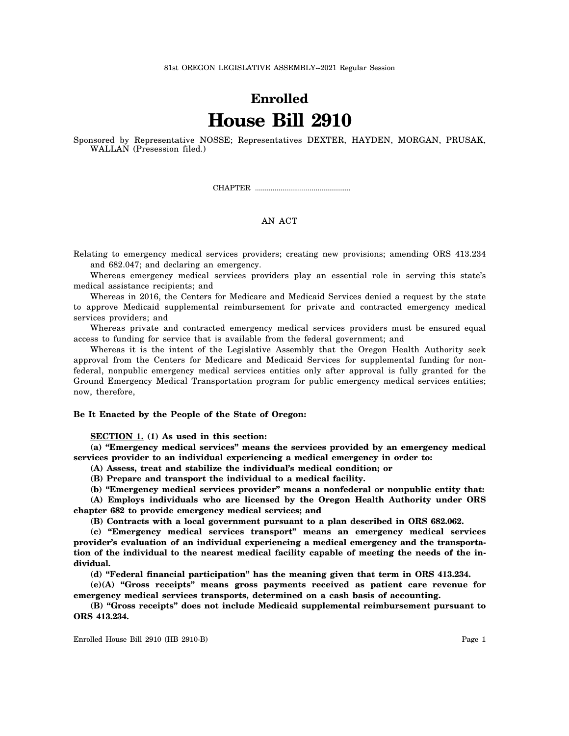81st OREGON LEGISLATIVE ASSEMBLY--2021 Regular Session

## **Enrolled House Bill 2910**

Sponsored by Representative NOSSE; Representatives DEXTER, HAYDEN, MORGAN, PRUSAK, WALLAN (Presession filed.)

CHAPTER .................................................

## AN ACT

Relating to emergency medical services providers; creating new provisions; amending ORS 413.234 and 682.047; and declaring an emergency.

Whereas emergency medical services providers play an essential role in serving this state's medical assistance recipients; and

Whereas in 2016, the Centers for Medicare and Medicaid Services denied a request by the state to approve Medicaid supplemental reimbursement for private and contracted emergency medical services providers; and

Whereas private and contracted emergency medical services providers must be ensured equal access to funding for service that is available from the federal government; and

Whereas it is the intent of the Legislative Assembly that the Oregon Health Authority seek approval from the Centers for Medicare and Medicaid Services for supplemental funding for nonfederal, nonpublic emergency medical services entities only after approval is fully granted for the Ground Emergency Medical Transportation program for public emergency medical services entities; now, therefore,

## **Be It Enacted by the People of the State of Oregon:**

**SECTION 1. (1) As used in this section:**

**(a) "Emergency medical services" means the services provided by an emergency medical services provider to an individual experiencing a medical emergency in order to:**

**(A) Assess, treat and stabilize the individual's medical condition; or**

**(B) Prepare and transport the individual to a medical facility.**

**(b) "Emergency medical services provider" means a nonfederal or nonpublic entity that:**

**(A) Employs individuals who are licensed by the Oregon Health Authority under ORS chapter 682 to provide emergency medical services; and**

**(B) Contracts with a local government pursuant to a plan described in ORS 682.062.**

**(c) "Emergency medical services transport" means an emergency medical services provider's evaluation of an individual experiencing a medical emergency and the transportation of the individual to the nearest medical facility capable of meeting the needs of the individual.**

**(d) "Federal financial participation" has the meaning given that term in ORS 413.234.**

**(e)(A) "Gross receipts" means gross payments received as patient care revenue for emergency medical services transports, determined on a cash basis of accounting.**

**(B) "Gross receipts" does not include Medicaid supplemental reimbursement pursuant to ORS 413.234.**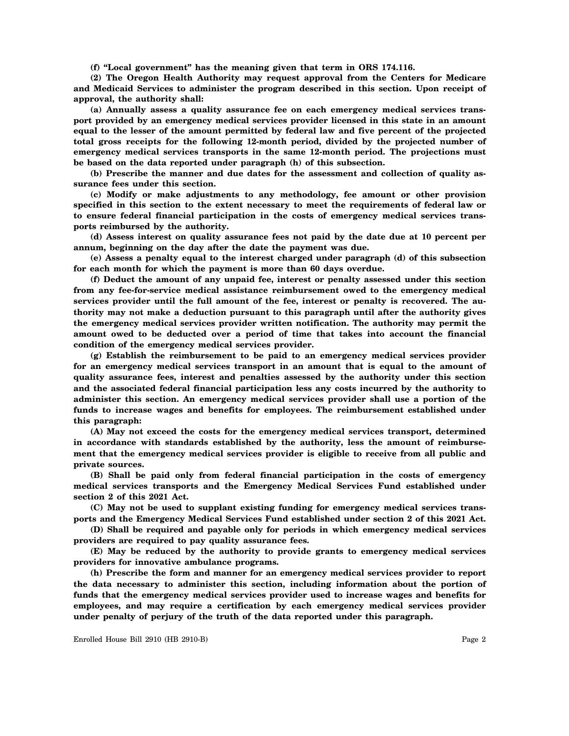**(f) "Local government" has the meaning given that term in ORS 174.116.**

**(2) The Oregon Health Authority may request approval from the Centers for Medicare and Medicaid Services to administer the program described in this section. Upon receipt of approval, the authority shall:**

**(a) Annually assess a quality assurance fee on each emergency medical services transport provided by an emergency medical services provider licensed in this state in an amount equal to the lesser of the amount permitted by federal law and five percent of the projected total gross receipts for the following 12-month period, divided by the projected number of emergency medical services transports in the same 12-month period. The projections must be based on the data reported under paragraph (h) of this subsection.**

**(b) Prescribe the manner and due dates for the assessment and collection of quality assurance fees under this section.**

**(c) Modify or make adjustments to any methodology, fee amount or other provision specified in this section to the extent necessary to meet the requirements of federal law or to ensure federal financial participation in the costs of emergency medical services transports reimbursed by the authority.**

**(d) Assess interest on quality assurance fees not paid by the date due at 10 percent per annum, beginning on the day after the date the payment was due.**

**(e) Assess a penalty equal to the interest charged under paragraph (d) of this subsection for each month for which the payment is more than 60 days overdue.**

**(f) Deduct the amount of any unpaid fee, interest or penalty assessed under this section from any fee-for-service medical assistance reimbursement owed to the emergency medical services provider until the full amount of the fee, interest or penalty is recovered. The authority may not make a deduction pursuant to this paragraph until after the authority gives the emergency medical services provider written notification. The authority may permit the amount owed to be deducted over a period of time that takes into account the financial condition of the emergency medical services provider.**

**(g) Establish the reimbursement to be paid to an emergency medical services provider for an emergency medical services transport in an amount that is equal to the amount of quality assurance fees, interest and penalties assessed by the authority under this section and the associated federal financial participation less any costs incurred by the authority to administer this section. An emergency medical services provider shall use a portion of the funds to increase wages and benefits for employees. The reimbursement established under this paragraph:**

**(A) May not exceed the costs for the emergency medical services transport, determined in accordance with standards established by the authority, less the amount of reimbursement that the emergency medical services provider is eligible to receive from all public and private sources.**

**(B) Shall be paid only from federal financial participation in the costs of emergency medical services transports and the Emergency Medical Services Fund established under section 2 of this 2021 Act.**

**(C) May not be used to supplant existing funding for emergency medical services transports and the Emergency Medical Services Fund established under section 2 of this 2021 Act.**

**(D) Shall be required and payable only for periods in which emergency medical services providers are required to pay quality assurance fees.**

**(E) May be reduced by the authority to provide grants to emergency medical services providers for innovative ambulance programs.**

**(h) Prescribe the form and manner for an emergency medical services provider to report the data necessary to administer this section, including information about the portion of funds that the emergency medical services provider used to increase wages and benefits for employees, and may require a certification by each emergency medical services provider under penalty of perjury of the truth of the data reported under this paragraph.**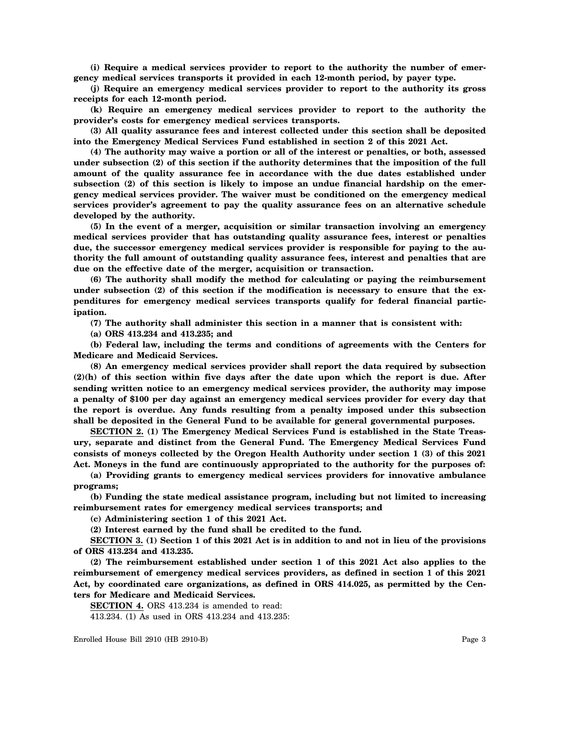**(i) Require a medical services provider to report to the authority the number of emergency medical services transports it provided in each 12-month period, by payer type.**

**(j) Require an emergency medical services provider to report to the authority its gross receipts for each 12-month period.**

**(k) Require an emergency medical services provider to report to the authority the provider's costs for emergency medical services transports.**

**(3) All quality assurance fees and interest collected under this section shall be deposited into the Emergency Medical Services Fund established in section 2 of this 2021 Act.**

**(4) The authority may waive a portion or all of the interest or penalties, or both, assessed under subsection (2) of this section if the authority determines that the imposition of the full amount of the quality assurance fee in accordance with the due dates established under subsection (2) of this section is likely to impose an undue financial hardship on the emergency medical services provider. The waiver must be conditioned on the emergency medical services provider's agreement to pay the quality assurance fees on an alternative schedule developed by the authority.**

**(5) In the event of a merger, acquisition or similar transaction involving an emergency medical services provider that has outstanding quality assurance fees, interest or penalties due, the successor emergency medical services provider is responsible for paying to the authority the full amount of outstanding quality assurance fees, interest and penalties that are due on the effective date of the merger, acquisition or transaction.**

**(6) The authority shall modify the method for calculating or paying the reimbursement under subsection (2) of this section if the modification is necessary to ensure that the expenditures for emergency medical services transports qualify for federal financial participation.**

**(7) The authority shall administer this section in a manner that is consistent with:**

**(a) ORS 413.234 and 413.235; and**

**(b) Federal law, including the terms and conditions of agreements with the Centers for Medicare and Medicaid Services.**

**(8) An emergency medical services provider shall report the data required by subsection (2)(h) of this section within five days after the date upon which the report is due. After sending written notice to an emergency medical services provider, the authority may impose a penalty of \$100 per day against an emergency medical services provider for every day that the report is overdue. Any funds resulting from a penalty imposed under this subsection shall be deposited in the General Fund to be available for general governmental purposes.**

**SECTION 2. (1) The Emergency Medical Services Fund is established in the State Treasury, separate and distinct from the General Fund. The Emergency Medical Services Fund consists of moneys collected by the Oregon Health Authority under section 1 (3) of this 2021 Act. Moneys in the fund are continuously appropriated to the authority for the purposes of:**

**(a) Providing grants to emergency medical services providers for innovative ambulance programs;**

**(b) Funding the state medical assistance program, including but not limited to increasing reimbursement rates for emergency medical services transports; and**

**(c) Administering section 1 of this 2021 Act.**

**(2) Interest earned by the fund shall be credited to the fund.**

**SECTION 3. (1) Section 1 of this 2021 Act is in addition to and not in lieu of the provisions of ORS 413.234 and 413.235.**

**(2) The reimbursement established under section 1 of this 2021 Act also applies to the reimbursement of emergency medical services providers, as defined in section 1 of this 2021 Act, by coordinated care organizations, as defined in ORS 414.025, as permitted by the Centers for Medicare and Medicaid Services.**

**SECTION 4.** ORS 413.234 is amended to read:

413.234. (1) As used in ORS 413.234 and 413.235: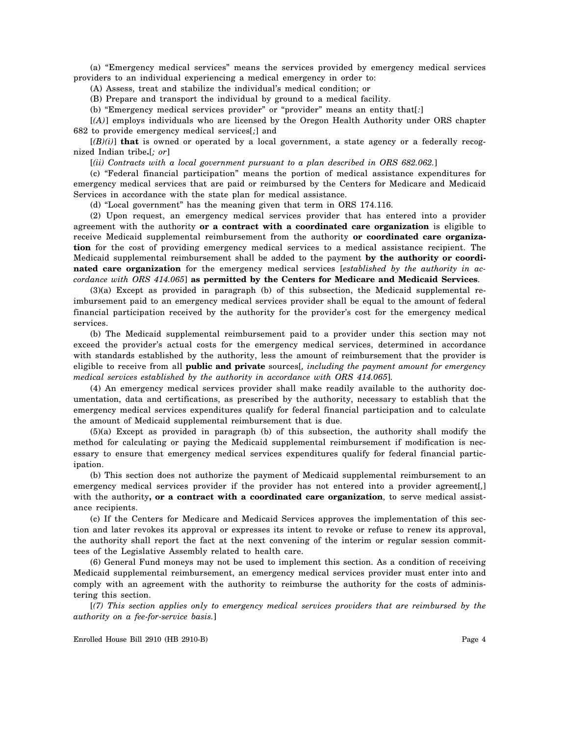(a) "Emergency medical services" means the services provided by emergency medical services providers to an individual experiencing a medical emergency in order to:

(A) Assess, treat and stabilize the individual's medical condition; or

(B) Prepare and transport the individual by ground to a medical facility.

(b) "Emergency medical services provider" or "provider" means an entity that[*:*]

[*(A)*] employs individuals who are licensed by the Oregon Health Authority under ORS chapter 682 to provide emergency medical services[*;*] and

 $[(B)(i)]$  that is owned or operated by a local government, a state agency or a federally recognized Indian tribe**.**[*; or*]

[*(ii) Contracts with a local government pursuant to a plan described in ORS 682.062.*]

(c) "Federal financial participation" means the portion of medical assistance expenditures for emergency medical services that are paid or reimbursed by the Centers for Medicare and Medicaid Services in accordance with the state plan for medical assistance.

(d) "Local government" has the meaning given that term in ORS 174.116.

(2) Upon request, an emergency medical services provider that has entered into a provider agreement with the authority **or a contract with a coordinated care organization** is eligible to receive Medicaid supplemental reimbursement from the authority **or coordinated care organization** for the cost of providing emergency medical services to a medical assistance recipient. The Medicaid supplemental reimbursement shall be added to the payment **by the authority or coordinated care organization** for the emergency medical services [*established by the authority in accordance with ORS 414.065*] **as permitted by the Centers for Medicare and Medicaid Services**.

(3)(a) Except as provided in paragraph (b) of this subsection, the Medicaid supplemental reimbursement paid to an emergency medical services provider shall be equal to the amount of federal financial participation received by the authority for the provider's cost for the emergency medical services.

(b) The Medicaid supplemental reimbursement paid to a provider under this section may not exceed the provider's actual costs for the emergency medical services, determined in accordance with standards established by the authority, less the amount of reimbursement that the provider is eligible to receive from all **public and private** sources[*, including the payment amount for emergency medical services established by the authority in accordance with ORS 414.065*].

(4) An emergency medical services provider shall make readily available to the authority documentation, data and certifications, as prescribed by the authority, necessary to establish that the emergency medical services expenditures qualify for federal financial participation and to calculate the amount of Medicaid supplemental reimbursement that is due.

(5)(a) Except as provided in paragraph (b) of this subsection, the authority shall modify the method for calculating or paying the Medicaid supplemental reimbursement if modification is necessary to ensure that emergency medical services expenditures qualify for federal financial participation.

(b) This section does not authorize the payment of Medicaid supplemental reimbursement to an emergency medical services provider if the provider has not entered into a provider agreement[*,*] with the authority, **or a contract with a coordinated care organization**, to serve medical assistance recipients.

(c) If the Centers for Medicare and Medicaid Services approves the implementation of this section and later revokes its approval or expresses its intent to revoke or refuse to renew its approval, the authority shall report the fact at the next convening of the interim or regular session committees of the Legislative Assembly related to health care.

(6) General Fund moneys may not be used to implement this section. As a condition of receiving Medicaid supplemental reimbursement, an emergency medical services provider must enter into and comply with an agreement with the authority to reimburse the authority for the costs of administering this section.

[*(7) This section applies only to emergency medical services providers that are reimbursed by the authority on a fee-for-service basis.*]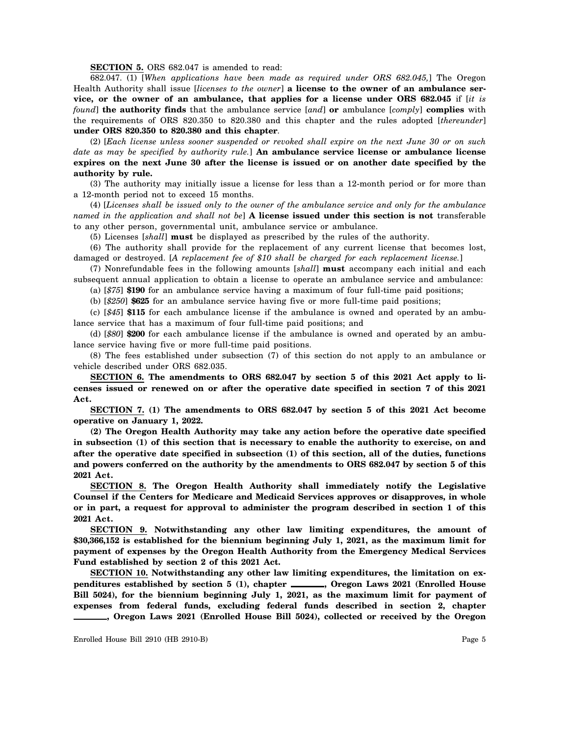**SECTION 5.** ORS 682.047 is amended to read:

682.047. (1) [*When applications have been made as required under ORS 682.045,*] The Oregon Health Authority shall issue [*licenses to the owner*] **a license to the owner of an ambulance service, or the owner of an ambulance, that applies for a license under ORS 682.045** if [*it is found*] **the authority finds** that the ambulance service [*and*] **or** ambulance [*comply*] **complies** with the requirements of ORS 820.350 to 820.380 and this chapter and the rules adopted [*thereunder*] **under ORS 820.350 to 820.380 and this chapter**.

(2) [*Each license unless sooner suspended or revoked shall expire on the next June 30 or on such date as may be specified by authority rule.*] **An ambulance service license or ambulance license expires on the next June 30 after the license is issued or on another date specified by the authority by rule.**

(3) The authority may initially issue a license for less than a 12-month period or for more than a 12-month period not to exceed 15 months.

(4) [*Licenses shall be issued only to the owner of the ambulance service and only for the ambulance named in the application and shall not be*] **A license issued under this section is not** transferable to any other person, governmental unit, ambulance service or ambulance.

(5) Licenses [*shall*] **must** be displayed as prescribed by the rules of the authority.

(6) The authority shall provide for the replacement of any current license that becomes lost, damaged or destroyed. [*A replacement fee of \$10 shall be charged for each replacement license.*]

(7) Nonrefundable fees in the following amounts [*shall*] **must** accompany each initial and each subsequent annual application to obtain a license to operate an ambulance service and ambulance:

(a) [*\$75*] **\$190** for an ambulance service having a maximum of four full-time paid positions;

(b) [*\$250*] **\$625** for an ambulance service having five or more full-time paid positions;

(c) [*\$45*] **\$115** for each ambulance license if the ambulance is owned and operated by an ambulance service that has a maximum of four full-time paid positions; and

(d) [*\$80*] **\$200** for each ambulance license if the ambulance is owned and operated by an ambulance service having five or more full-time paid positions.

(8) The fees established under subsection (7) of this section do not apply to an ambulance or vehicle described under ORS 682.035.

**SECTION 6. The amendments to ORS 682.047 by section 5 of this 2021 Act apply to licenses issued or renewed on or after the operative date specified in section 7 of this 2021 Act.**

**SECTION 7. (1) The amendments to ORS 682.047 by section 5 of this 2021 Act become operative on January 1, 2022.**

**(2) The Oregon Health Authority may take any action before the operative date specified in subsection (1) of this section that is necessary to enable the authority to exercise, on and after the operative date specified in subsection (1) of this section, all of the duties, functions and powers conferred on the authority by the amendments to ORS 682.047 by section 5 of this 2021 Act.**

**SECTION 8. The Oregon Health Authority shall immediately notify the Legislative Counsel if the Centers for Medicare and Medicaid Services approves or disapproves, in whole or in part, a request for approval to administer the program described in section 1 of this 2021 Act.**

**SECTION 9. Notwithstanding any other law limiting expenditures, the amount of \$30,366,152 is established for the biennium beginning July 1, 2021, as the maximum limit for payment of expenses by the Oregon Health Authority from the Emergency Medical Services Fund established by section 2 of this 2021 Act.**

**SECTION 10. Notwithstanding any other law limiting expenditures, the limitation on ex**penditures established by section 5 (1), chapter **, Oregon Laws 2021** (Enrolled House **Bill 5024), for the biennium beginning July 1, 2021, as the maximum limit for payment of expenses from federal funds, excluding federal funds described in section 2, chapter , Oregon Laws 2021 (Enrolled House Bill 5024), collected or received by the Oregon**